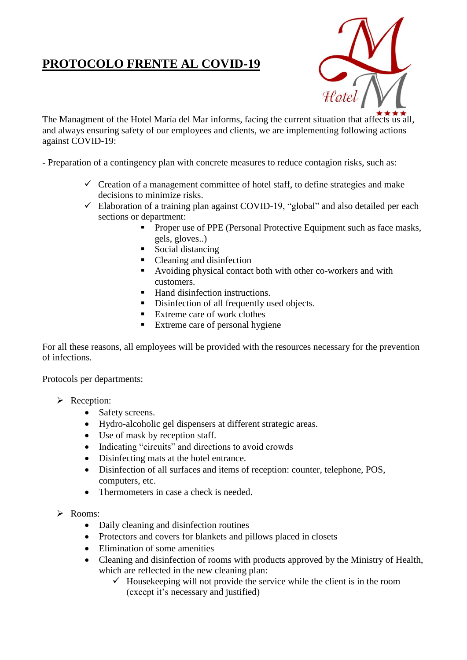## **PROTOCOLO FRENTE AL COVID-19**



The Managment of the Hotel María del Mar informs, facing the current situation that affects us all, and always ensuring safety of our employees and clients, we are implementing following actions against COVID-19:

- Preparation of a contingency plan with concrete measures to reduce contagion risks, such as:

- $\checkmark$  Creation of a management committee of hotel staff, to define strategies and make decisions to minimize risks.
- $\checkmark$  Elaboration of a training plan against COVID-19, "global" and also detailed per each sections or department:
	- **Proper use of PPE (Personal Protective Equipment such as face masks,** gels, gloves..)
	- Social distancing
	- Cleaning and disinfection
	- Avoiding physical contact both with other co-workers and with customers.
	- Hand disinfection instructions.
	- Disinfection of all frequently used objects.
	- Extreme care of work clothes
	- Extreme care of personal hygiene

For all these reasons, all employees will be provided with the resources necessary for the prevention of infections.

Protocols per departments:

- P Reception:
	- Safety screens.
	- Hydro-alcoholic gel dispensers at different strategic areas.
	- Use of mask by reception staff.
	- Indicating "circuits" and directions to avoid crowds
	- Disinfecting mats at the hotel entrance.
	- Disinfection of all surfaces and items of reception: counter, telephone, POS, computers, etc.
	- Thermometers in case a check is needed.
- $\triangleright$  Rooms:
	- Daily cleaning and disinfection routines
	- Protectors and covers for blankets and pillows placed in closets
	- Elimination of some amenities
	- Cleaning and disinfection of rooms with products approved by the Ministry of Health, which are reflected in the new cleaning plan:
		- $\checkmark$  Housekeeping will not provide the service while the client is in the room (except it's necessary and justified)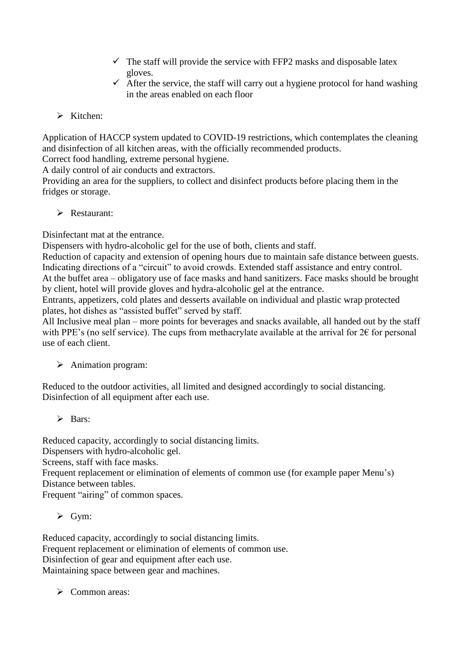- $\checkmark$  The staff will provide the service with FFP2 masks and disposable latex gloves.
- $\checkmark$  After the service, the staff will carry out a hygiene protocol for hand washing in the areas enabled on each floor
- $\triangleright$  Kitchen:

Application of HACCP system updated to COVID-19 restrictions, which contemplates the cleaning and disinfection of all kitchen areas, with the officially recommended products.

Correct food handling, extreme personal hygiene.

A daily control of air conducts and extractors.

Providing an area for the suppliers, to collect and disinfect products before placing them in the fridges or storage.

P Restaurant:

Disinfectant mat at the entrance.

Dispensers with hydro-alcoholic gel for the use of both, clients and staff.

Reduction of capacity and extension of opening hours due to maintain safe distance between guests. Indicating directions of a "circuit" to avoid crowds. Extended staff assistance and entry control. At the buffet area – obligatory use of face masks and hand sanitizers. Face masks should be brought by client, hotel will provide gloves and hydra-alcoholic gel at the entrance.

Entrants, appetizers, cold plates and desserts available on individual and plastic wrap protected plates, hot dishes as "assisted buffet" served by staff.

All Inclusive meal plan – more points for beverages and snacks available, all handed out by the staff with PPE's (no self service). The cups from methacrylate available at the arrival for  $2 \epsilon$  for personal use of each client.

## $\triangleright$  Animation program:

Reduced to the outdoor activities, all limited and designed accordingly to social distancing. Disinfection of all equipment after each use.

 $\triangleright$  Rars:

Reduced capacity, accordingly to social distancing limits. Dispensers with hydro-alcoholic gel. Screens, staff with face masks. Frequent replacement or elimination of elements of common use (for example paper Menu's) Distance between tables. Frequent "airing" of common spaces.

 $\triangleright$  Gym:

Reduced capacity, accordingly to social distancing limits. Frequent replacement or elimination of elements of common use. Disinfection of gear and equipment after each use. Maintaining space between gear and machines.

 $\triangleright$  Common areas: